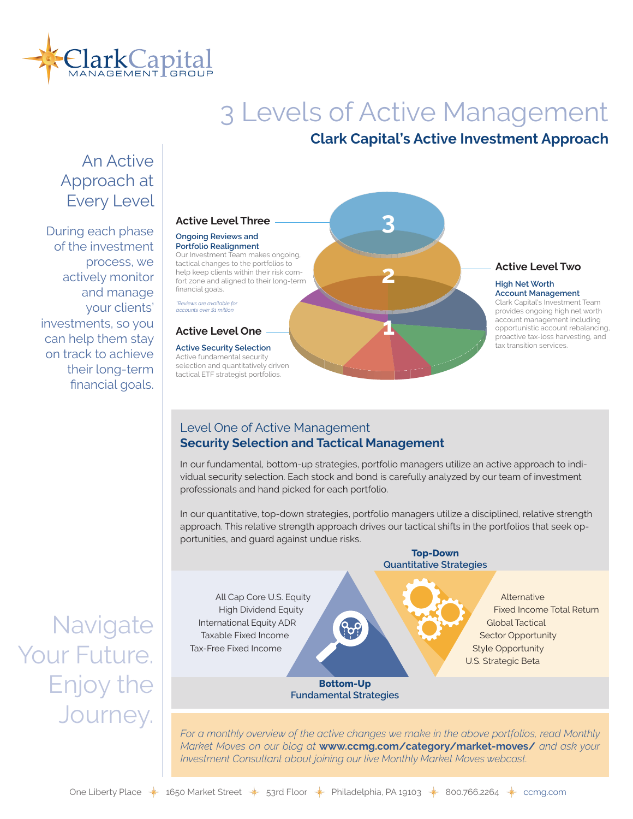

# 3 Levels of Active Management

# **Clark Capital's Active Investment Approach**

# An Active Approach at Every Level

During each phase of the investment process, we actively monitor and manage your clients' investments, so you can help them stay on track to achieve their long-term financial goals.

#### **Active Level Three**

#### **Ongoing Reviews and Portfolio Realignment**

Our Investment Team makes ongoing, tactical changes to the portfolios to help keep clients within their risk comfort zone and aligned to their long-term financial goals.

*\*Reviews are available for accounts over \$1 million*

#### **Active Level One**

#### **Active Security Selection**

Active fundamental security selection and quantitatively driven tactical ETF strategist portfolios.

# **1 2 3**

#### **Active Level Two**

#### **High Net Worth Account Management**

Clark Capital's Investment Team provides ongoing high net worth account management including opportunistic account rebalancing, proactive tax-loss harvesting, and tax transition services.

# Level One of Active Management **Security Selection and Tactical Management**

In our fundamental, bottom-up strategies, portfolio managers utilize an active approach to individual security selection. Each stock and bond is carefully analyzed by our team of investment professionals and hand picked for each portfolio.

In our quantitative, top-down strategies, portfolio managers utilize a disciplined, relative strength approach. This relative strength approach drives our tactical shifts in the portfolios that seek opportunities, and guard against undue risks.



For a monthly overview of the active changes we make in the above portfolios, read Monthly *Market Moves on our blog at* **www.ccmg.com/category/market-moves/** *and ask your Investment Consultant about joining our live Monthly Market Moves webcast.* 

**Navigate** Your Future. Enjoy the Journey.